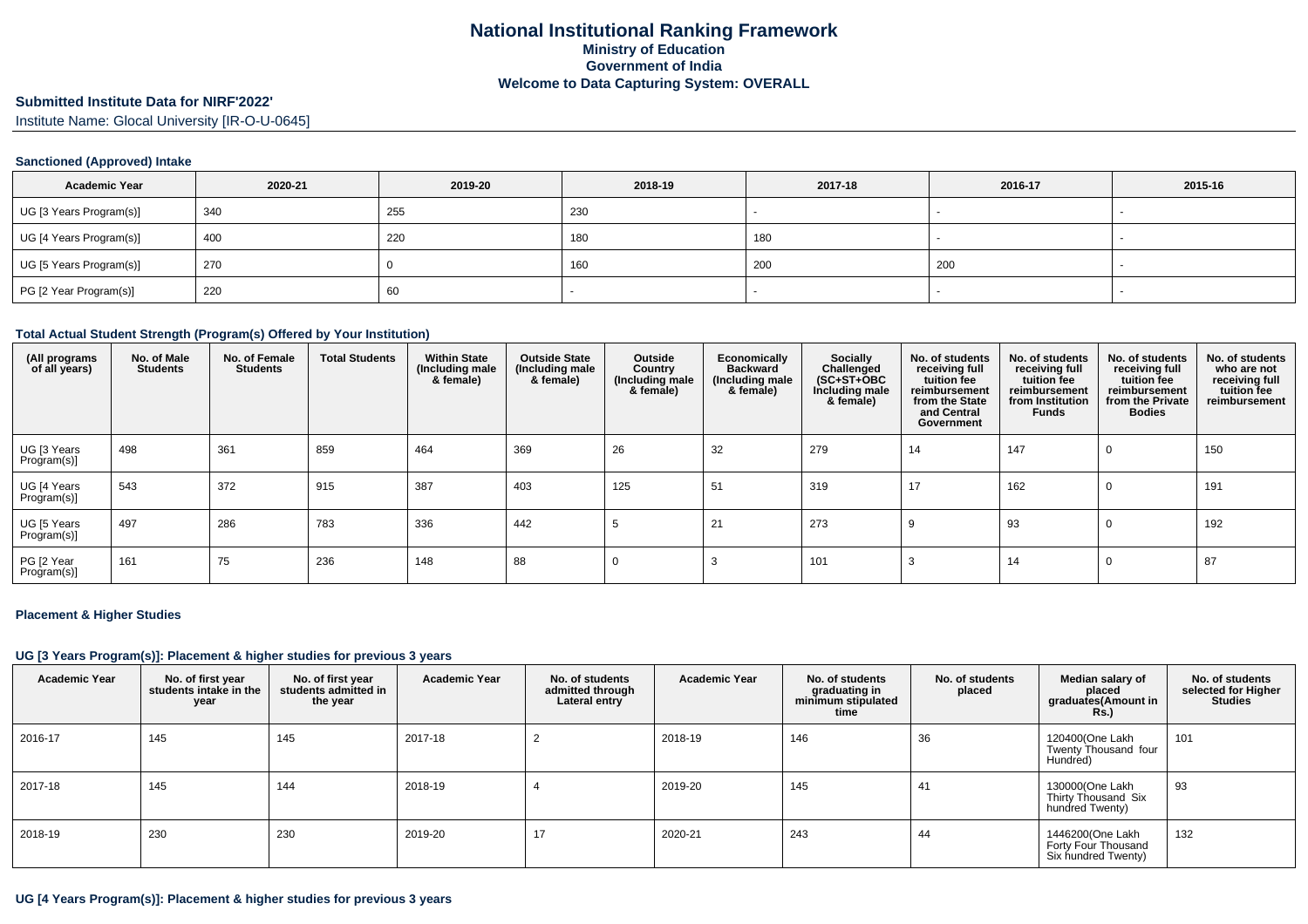# **Submitted Institute Data for NIRF'2022'**

Institute Name: Glocal University [IR-O-U-0645]

## **Sanctioned (Approved) Intake**

| <b>Academic Year</b>    | 2020-21 | 2019-20 | 2018-19 | 2017-18 | 2016-17 | 2015-16 |
|-------------------------|---------|---------|---------|---------|---------|---------|
| UG [3 Years Program(s)] | 340     | 255     | 230     |         |         |         |
| UG [4 Years Program(s)] | 400     | 220     | 180     | 180     |         |         |
| UG [5 Years Program(s)] | 270     |         | 160     | 200     | 200     | -       |
| PG [2 Year Program(s)]  | 220     | 60      |         |         |         |         |

### **Total Actual Student Strength (Program(s) Offered by Your Institution)**

| (All programs<br>of all years) | No. of Male<br><b>Students</b> | No. of Female<br><b>Students</b> | <b>Total Students</b> | <b>Within State</b><br>(Including male<br>& female) | <b>Outside State</b><br>(Including male<br>& female) | Outside<br>Country<br>(Including male<br>& female) | Economically<br><b>Backward</b><br>(Including male<br>& female) | <b>Socially</b><br>Challenged<br>$(SC+ST+OBC)$<br>Including male<br>& female) | No. of students<br>receiving full<br>tuition fee<br>reimbursement<br>from the State<br>and Central<br>Government | No. of students<br>receiving full<br>tuition fee<br>reimbursement<br>from Institution<br><b>Funds</b> | No. of students<br>receiving full<br>tuition fee<br>reimbursement<br>from the Private<br><b>Bodies</b> | No. of students<br>who are not<br>receiving full<br>tuition fee<br>reimbursement |
|--------------------------------|--------------------------------|----------------------------------|-----------------------|-----------------------------------------------------|------------------------------------------------------|----------------------------------------------------|-----------------------------------------------------------------|-------------------------------------------------------------------------------|------------------------------------------------------------------------------------------------------------------|-------------------------------------------------------------------------------------------------------|--------------------------------------------------------------------------------------------------------|----------------------------------------------------------------------------------|
| UG [3 Years<br>Program(s)]     | 498                            | 361                              | 859                   | 464                                                 | 369                                                  | 26                                                 | 32                                                              | 279                                                                           | 14                                                                                                               | 147                                                                                                   | $\Omega$                                                                                               | 150                                                                              |
| UG [4 Years<br>Program(s)]     | 543                            | 372                              | 915                   | 387                                                 | 403                                                  | 125                                                | 51                                                              | 319                                                                           | 17                                                                                                               | 162                                                                                                   | 0                                                                                                      | 191                                                                              |
| UG [5 Years<br>Program(s)]     | 497                            | 286                              | 783                   | 336                                                 | 442                                                  |                                                    | 21                                                              | 273                                                                           | č                                                                                                                | 93                                                                                                    | 0                                                                                                      | 192                                                                              |
| PG [2 Year<br>Program(s)]      | 161                            | 75                               | 236                   | 148                                                 | 88                                                   |                                                    |                                                                 | 101                                                                           | 3                                                                                                                | 14                                                                                                    | 0                                                                                                      | 87                                                                               |

### **Placement & Higher Studies**

### **UG [3 Years Program(s)]: Placement & higher studies for previous 3 years**

| <b>Academic Year</b> | No. of first year<br>students intake in the<br>year | No. of first year<br>students admitted in<br>the year | <b>Academic Year</b> | No. of students<br>admitted through<br>Lateral entry | <b>Academic Year</b> | No. of students<br>graduating in<br>minimum stipulated<br>time | No. of students<br>placed | Median salary of<br>placed<br>graduates(Amount in<br><b>Rs.</b> ) | No. of students<br>selected for Higher<br><b>Studies</b> |
|----------------------|-----------------------------------------------------|-------------------------------------------------------|----------------------|------------------------------------------------------|----------------------|----------------------------------------------------------------|---------------------------|-------------------------------------------------------------------|----------------------------------------------------------|
| 2016-17              | 145                                                 | 145                                                   | 2017-18              |                                                      | 2018-19              | 146                                                            | 36                        | 120400(One Lakh<br>Twenty Thousand four<br>Hundred)               | 101                                                      |
| 2017-18              | 145                                                 | 144                                                   | 2018-19              |                                                      | 2019-20              | 145                                                            | 41                        | 130000(One Lakh<br>Thirty Thousand Six<br>hundred Twenty)         | 93                                                       |
| 2018-19              | 230                                                 | 230                                                   | 2019-20              |                                                      | 2020-21              | 243                                                            | 44                        | 1446200(One Lakh<br>Forty Four Thousand<br>Six hundred Twenty)    | 132                                                      |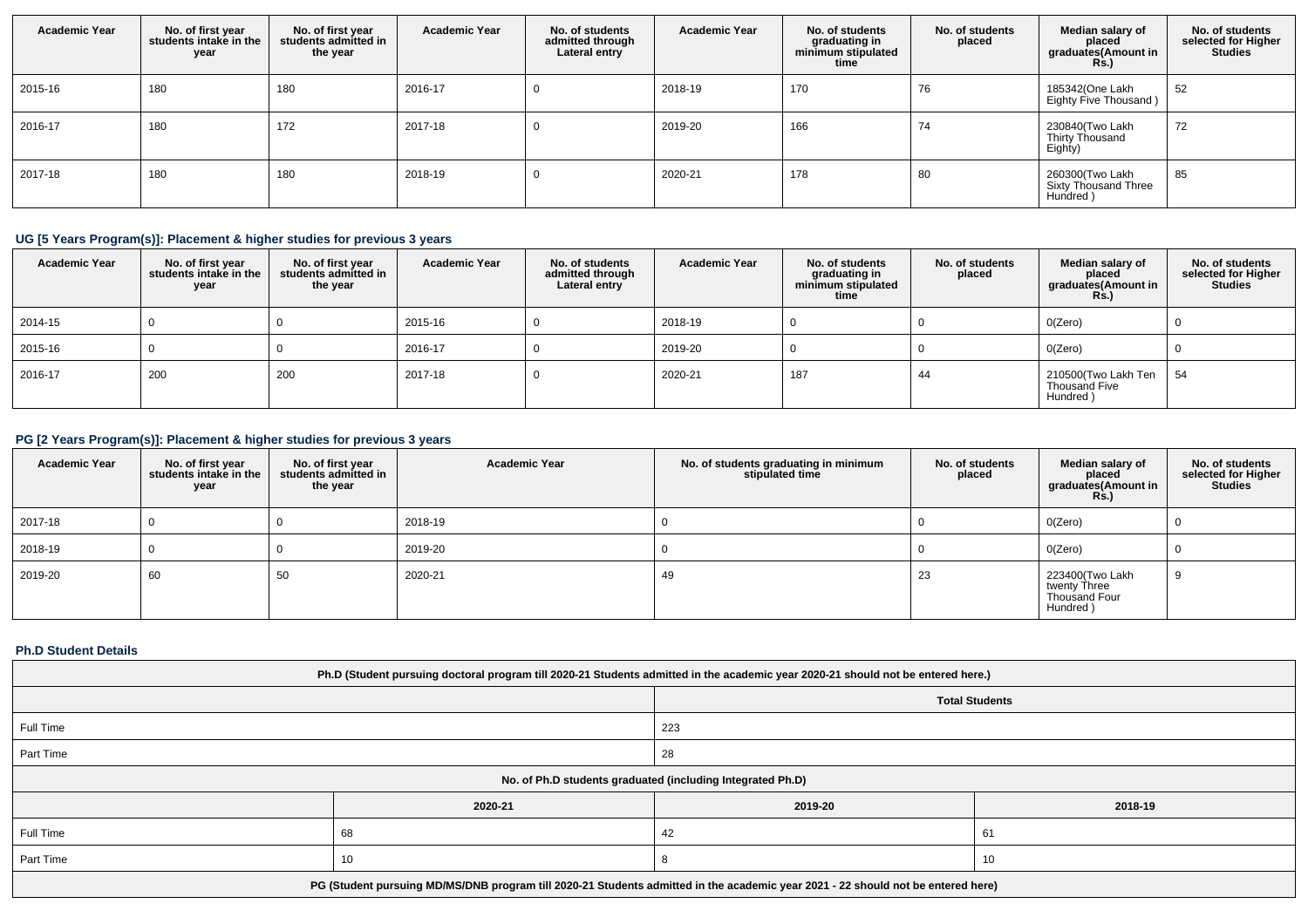| <b>Academic Year</b> | No. of first year<br>students intake in the<br>year | No. of first year<br>students admitted in<br>the year | <b>Academic Year</b> | No. of students<br>admitted through<br>Lateral entry | <b>Academic Year</b> | No. of students<br>graduating in<br>minimum stipulated<br>time | No. of students<br>placed | Median salary of<br>placed<br>graduates(Amount in<br><b>Rs.)</b> | No. of students<br>selected for Higher<br><b>Studies</b> |
|----------------------|-----------------------------------------------------|-------------------------------------------------------|----------------------|------------------------------------------------------|----------------------|----------------------------------------------------------------|---------------------------|------------------------------------------------------------------|----------------------------------------------------------|
| 2015-16              | 180                                                 | 180                                                   | 2016-17              | U                                                    | 2018-19              | 170                                                            | 76                        | 185342(One Lakh<br>Eighty Five Thousand)                         | 52                                                       |
| 2016-17              | 180                                                 | 172                                                   | 2017-18              | U                                                    | 2019-20              | 166                                                            | 74                        | 230840(Two Lakh<br>Thirty Thousand<br>Eighty)                    | 72                                                       |
| 2017-18              | 180                                                 | 180                                                   | 2018-19              | 0                                                    | 2020-21              | 178                                                            | 80                        | 260300(Two Lakh<br>Sixty Thousand Three<br>Hundred)              | 85                                                       |

# **UG [5 Years Program(s)]: Placement & higher studies for previous 3 years**

| <b>Academic Year</b> | No. of first year<br>students intake in the<br>year | No. of first year<br>students admitted in<br>the year | <b>Academic Year</b> | No. of students<br>admitted through<br>Lateral entry | <b>Academic Year</b> | No. of students<br>graduating in<br>minimum stipulated<br>time | No. of students<br>placed | Median salary of<br>placed<br>graduates(Amount in<br>Rs.) | No. of students<br>selected for Higher<br><b>Studies</b> |
|----------------------|-----------------------------------------------------|-------------------------------------------------------|----------------------|------------------------------------------------------|----------------------|----------------------------------------------------------------|---------------------------|-----------------------------------------------------------|----------------------------------------------------------|
| 2014-15              |                                                     |                                                       | 2015-16              |                                                      | 2018-19              |                                                                |                           | O(Zero)                                                   |                                                          |
| 2015-16              |                                                     |                                                       | 2016-17              |                                                      | 2019-20              |                                                                |                           | O(Zero)                                                   |                                                          |
| 2016-17              | 200                                                 | 200                                                   | 2017-18              |                                                      | 2020-21              | 187                                                            | 44                        | 210500(Two Lakh Ten<br>Thousand Five<br>Hundred)          | 54                                                       |

# **PG [2 Years Program(s)]: Placement & higher studies for previous 3 years**

| <b>Academic Year</b> | No. of first year<br>students intake in the<br>year | No. of first year<br>students admitted in<br>the year | <b>Academic Year</b> | No. of students graduating in minimum<br>stipulated time | No. of students<br>placed | Median salary of<br>placed<br>graduates(Amount in<br><b>Rs.)</b> | No. of students<br>selected for Higher<br><b>Studies</b> |
|----------------------|-----------------------------------------------------|-------------------------------------------------------|----------------------|----------------------------------------------------------|---------------------------|------------------------------------------------------------------|----------------------------------------------------------|
| 2017-18              |                                                     |                                                       | 2018-19              |                                                          |                           | O(Zero)                                                          |                                                          |
| 2018-19              |                                                     |                                                       | 2019-20              |                                                          |                           | 0(Zero)                                                          |                                                          |
| 2019-20              | 60                                                  | 50                                                    | 2020-21              | 49                                                       | 23                        | 223400(Two Lakh<br>twenty Three<br>Thousand Four<br>Hundred)     | 9                                                        |

# **Ph.D Student Details**

| Ph.D (Student pursuing doctoral program till 2020-21 Students admitted in the academic year 2020-21 should not be entered here.) |         |         |         |  |  |  |
|----------------------------------------------------------------------------------------------------------------------------------|---------|---------|---------|--|--|--|
| <b>Total Students</b>                                                                                                            |         |         |         |  |  |  |
| Full Time                                                                                                                        |         | 223     |         |  |  |  |
| Part Time                                                                                                                        |         | 28      |         |  |  |  |
| No. of Ph.D students graduated (including Integrated Ph.D)                                                                       |         |         |         |  |  |  |
|                                                                                                                                  | 2020-21 | 2019-20 | 2018-19 |  |  |  |
| Full Time                                                                                                                        | 68      | 42      | 61      |  |  |  |
| Part Time                                                                                                                        | 10      |         | 10      |  |  |  |
| PG (Student pursuing MD/MS/DNB program till 2020-21 Students admitted in the academic year 2021 - 22 should not be entered here) |         |         |         |  |  |  |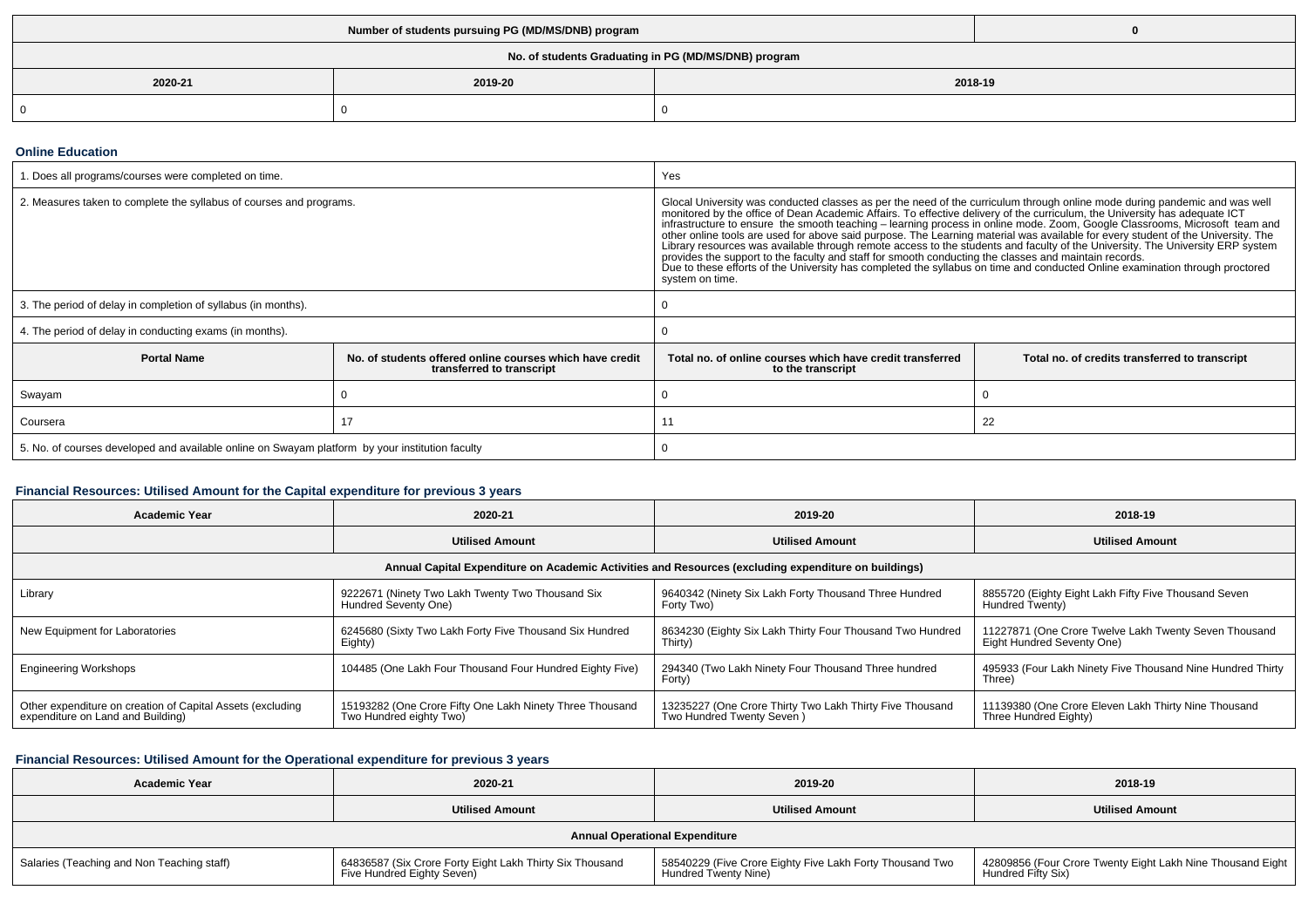| No. of students Graduating in PG (MD/MS/DNB) program |                    |  |  |  |  |  |
|------------------------------------------------------|--------------------|--|--|--|--|--|
| 2020-21                                              | 2019-20<br>2018-19 |  |  |  |  |  |
|                                                      |                    |  |  |  |  |  |

### **Online Education**

| . Does all programs/courses were completed on time.                                             |                                                                                       | Yes                                                                                                                                                                                                                                                                                                                                                                                                                                                                                                                                                                                                                                                                                                                                                                 |                                                |  |  |
|-------------------------------------------------------------------------------------------------|---------------------------------------------------------------------------------------|---------------------------------------------------------------------------------------------------------------------------------------------------------------------------------------------------------------------------------------------------------------------------------------------------------------------------------------------------------------------------------------------------------------------------------------------------------------------------------------------------------------------------------------------------------------------------------------------------------------------------------------------------------------------------------------------------------------------------------------------------------------------|------------------------------------------------|--|--|
| 2. Measures taken to complete the syllabus of courses and programs.                             |                                                                                       | Glocal University was conducted classes as per the need of the curriculum through online mode during pandemic and was well<br>monitored by the office of Dean Academic Affairs. To effective delivery of the curriculum, the Univ<br>other online tools are used for above said purpose. The Learning material was available for every student of the University. The<br>Library resources was available through remote access to the students and faculty of the University. The University ERP system<br>provides the support to the faculty and staff for smooth conducting the classes and maintain records.<br>Due to these efforts of the University has completed the syllabus on time and conducted Online examination through proctored<br>system on time. |                                                |  |  |
| 3. The period of delay in completion of syllabus (in months).                                   |                                                                                       |                                                                                                                                                                                                                                                                                                                                                                                                                                                                                                                                                                                                                                                                                                                                                                     |                                                |  |  |
| 4. The period of delay in conducting exams (in months).                                         |                                                                                       |                                                                                                                                                                                                                                                                                                                                                                                                                                                                                                                                                                                                                                                                                                                                                                     |                                                |  |  |
| <b>Portal Name</b>                                                                              | No, of students offered online courses which have credit<br>transferred to transcript | Total no. of online courses which have credit transferred<br>to the transcript                                                                                                                                                                                                                                                                                                                                                                                                                                                                                                                                                                                                                                                                                      | Total no. of credits transferred to transcript |  |  |
| Swayam                                                                                          |                                                                                       |                                                                                                                                                                                                                                                                                                                                                                                                                                                                                                                                                                                                                                                                                                                                                                     |                                                |  |  |
| Coursera                                                                                        |                                                                                       | 22                                                                                                                                                                                                                                                                                                                                                                                                                                                                                                                                                                                                                                                                                                                                                                  |                                                |  |  |
| 5. No. of courses developed and available online on Swayam platform by your institution faculty |                                                                                       |                                                                                                                                                                                                                                                                                                                                                                                                                                                                                                                                                                                                                                                                                                                                                                     |                                                |  |  |

## **Financial Resources: Utilised Amount for the Capital expenditure for previous 3 years**

| <b>Academic Year</b>                                                                                 | 2020-21                                                                             | 2019-20                                                                               | 2018-19                                                                             |  |  |  |  |  |
|------------------------------------------------------------------------------------------------------|-------------------------------------------------------------------------------------|---------------------------------------------------------------------------------------|-------------------------------------------------------------------------------------|--|--|--|--|--|
|                                                                                                      | <b>Utilised Amount</b>                                                              | <b>Utilised Amount</b>                                                                | <b>Utilised Amount</b>                                                              |  |  |  |  |  |
| Annual Capital Expenditure on Academic Activities and Resources (excluding expenditure on buildings) |                                                                                     |                                                                                       |                                                                                     |  |  |  |  |  |
| Library                                                                                              | 9222671 (Ninety Two Lakh Twenty Two Thousand Six<br>Hundred Seventy One)            | 9640342 (Ninety Six Lakh Forty Thousand Three Hundred<br>Forty Two)                   | 8855720 (Eighty Eight Lakh Fifty Five Thousand Seven<br>Hundred Twenty)             |  |  |  |  |  |
| New Equipment for Laboratories                                                                       | 6245680 (Sixty Two Lakh Forty Five Thousand Six Hundred<br>Eighty)                  | 8634230 (Eighty Six Lakh Thirty Four Thousand Two Hundred<br>Thirty)                  | 11227871 (One Crore Twelve Lakh Twenty Seven Thousand<br>Eight Hundred Seventy One) |  |  |  |  |  |
| <b>Engineering Workshops</b>                                                                         | 104485 (One Lakh Four Thousand Four Hundred Eighty Five)                            | 294340 (Two Lakh Ninety Four Thousand Three hundred<br>Forty)                         | 495933 (Four Lakh Ninety Five Thousand Nine Hundred Thirty<br>Three)                |  |  |  |  |  |
| Other expenditure on creation of Capital Assets (excluding<br>expenditure on Land and Building)      | 15193282 (One Crore Fifty One Lakh Ninety Three Thousand<br>Two Hundred eighty Two) | 13235227 (One Crore Thirty Two Lakh Thirty Five Thousand<br>Two Hundred Twenty Seven) | 11139380 (One Crore Eleven Lakh Thirty Nine Thousand<br>Three Hundred Eighty)       |  |  |  |  |  |

## **Financial Resources: Utilised Amount for the Operational expenditure for previous 3 years**

| <b>Academic Year</b>                       | 2020-21                                                                                | 2019-20                                                                          | 2018-19                                                                          |  |  |  |  |
|--------------------------------------------|----------------------------------------------------------------------------------------|----------------------------------------------------------------------------------|----------------------------------------------------------------------------------|--|--|--|--|
|                                            | <b>Utilised Amount</b>                                                                 | <b>Utilised Amount</b>                                                           | <b>Utilised Amount</b>                                                           |  |  |  |  |
| <b>Annual Operational Expenditure</b>      |                                                                                        |                                                                                  |                                                                                  |  |  |  |  |
| Salaries (Teaching and Non Teaching staff) | 64836587 (Six Crore Forty Eight Lakh Thirty Six Thousand<br>Five Hundred Eighty Seven) | 58540229 (Five Crore Eighty Five Lakh Forty Thousand Two<br>Hundred Twenty Nine) | 42809856 (Four Crore Twenty Eight Lakh Nine Thousand Eight<br>Hundred Fifty Six) |  |  |  |  |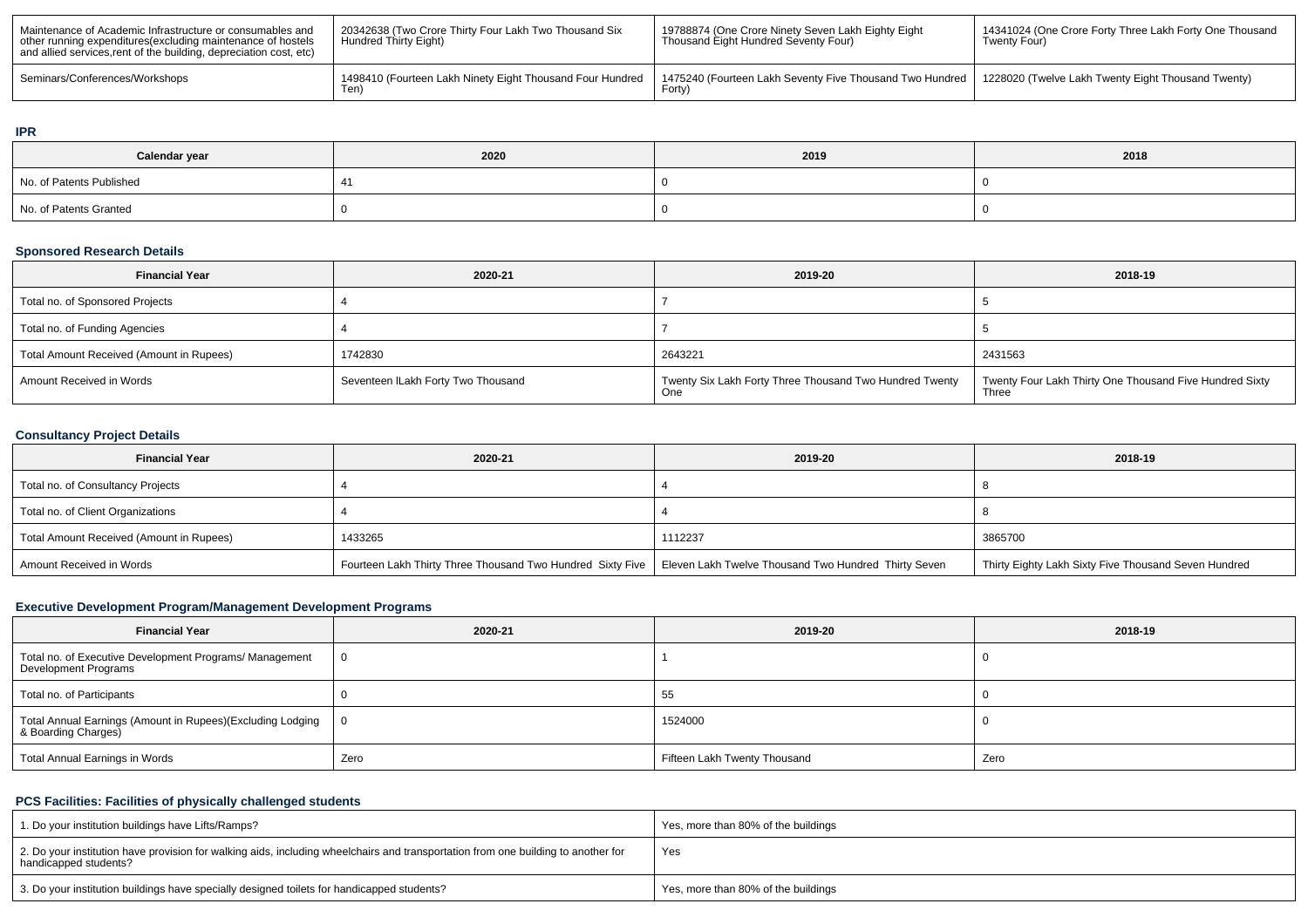| Maintenance of Academic Infrastructure or consumables and<br>other running expenditures (excluding maintenance of hostels<br>and allied services, rent of the building, depreciation cost, etc) | 20342638 (Two Crore Thirty Four Lakh Two Thousand Six<br>Hundred Thirty Eight) | 19788874 (One Crore Ninety Seven Lakh Eighty Eight<br>Thousand Eight Hundred Seventy Four) | 14341024 (One Crore Forty Three Lakh Forty One Thousand<br>Twenty Four) |
|-------------------------------------------------------------------------------------------------------------------------------------------------------------------------------------------------|--------------------------------------------------------------------------------|--------------------------------------------------------------------------------------------|-------------------------------------------------------------------------|
| Seminars/Conferences/Workshops                                                                                                                                                                  | 1498410 (Fourteen Lakh Ninety Eight Thousand Four Hundred<br>Ten)              | 1475240 (Fourteen Lakh Seventy Five Thousand Two Hundred<br>Forty,                         | 1228020 (Twelve Lakh Twenty Eight Thousand Twenty)                      |

## **IPR**

| Calendar year            | 2020 | 2019 | 2018 |  |
|--------------------------|------|------|------|--|
| No. of Patents Published |      |      |      |  |
| No. of Patents Granted   |      |      |      |  |

## **Sponsored Research Details**

| <b>Financial Year</b>                    | 2020-21                            | 2019-20                                                        | 2018-19                                                          |  |  |
|------------------------------------------|------------------------------------|----------------------------------------------------------------|------------------------------------------------------------------|--|--|
| Total no. of Sponsored Projects          |                                    |                                                                |                                                                  |  |  |
| Total no. of Funding Agencies            |                                    |                                                                |                                                                  |  |  |
| Total Amount Received (Amount in Rupees) | 1742830                            | 2643221                                                        | 2431563                                                          |  |  |
| Amount Received in Words                 | Seventeen ILakh Forty Two Thousand | Twenty Six Lakh Forty Three Thousand Two Hundred Twenty<br>One | Twenty Four Lakh Thirty One Thousand Five Hundred Sixty<br>Three |  |  |

# **Consultancy Project Details**

| <b>Financial Year</b>                    | 2020-21                                                    | 2019-20                                              | 2018-19                                              |  |
|------------------------------------------|------------------------------------------------------------|------------------------------------------------------|------------------------------------------------------|--|
| Total no. of Consultancy Projects        |                                                            |                                                      |                                                      |  |
| Total no. of Client Organizations        |                                                            |                                                      |                                                      |  |
| Total Amount Received (Amount in Rupees) | 1433265                                                    | 1112237                                              | 3865700                                              |  |
| Amount Received in Words                 | Fourteen Lakh Thirty Three Thousand Two Hundred Sixty Five | Eleven Lakh Twelve Thousand Two Hundred Thirty Seven | Thirty Eighty Lakh Sixty Five Thousand Seven Hundred |  |

# **Executive Development Program/Management Development Programs**

| <b>Financial Year</b>                                                             | 2020-21 | 2019-20                      | 2018-19 |  |  |
|-----------------------------------------------------------------------------------|---------|------------------------------|---------|--|--|
| Total no. of Executive Development Programs/ Management<br>Development Programs   | 0       |                              |         |  |  |
| Total no. of Participants                                                         |         | 55                           |         |  |  |
| Total Annual Earnings (Amount in Rupees)(Excluding Lodging<br>8 Boarding Charges) | ∣O.     | 1524000                      |         |  |  |
| Total Annual Earnings in Words                                                    | Zero    | Fifteen Lakh Twenty Thousand | Zero    |  |  |

# **PCS Facilities: Facilities of physically challenged students**

| 1. Do your institution buildings have Lifts/Ramps?                                                                                                         | Yes, more than 80% of the buildings |
|------------------------------------------------------------------------------------------------------------------------------------------------------------|-------------------------------------|
| 2. Do your institution have provision for walking aids, including wheelchairs and transportation from one building to another for<br>handicapped students? | Yes                                 |
| 3. Do your institution buildings have specially designed toilets for handicapped students?                                                                 | Yes, more than 80% of the buildings |